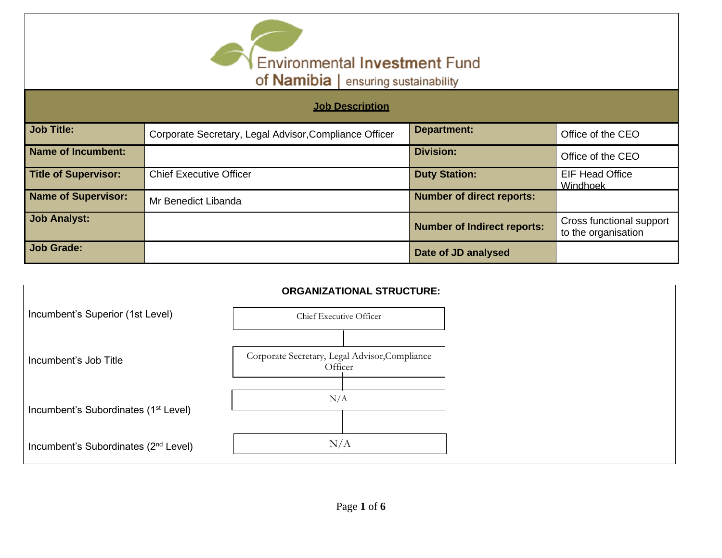

| <b>Job Description</b>      |                                                        |                                    |                                                 |  |  |
|-----------------------------|--------------------------------------------------------|------------------------------------|-------------------------------------------------|--|--|
| <b>Job Title:</b>           | Corporate Secretary, Legal Advisor, Compliance Officer | <b>Department:</b>                 | Office of the CEO                               |  |  |
| <b>Name of Incumbent:</b>   |                                                        | <b>Division:</b>                   | Office of the CEO                               |  |  |
| <b>Title of Supervisor:</b> | <b>Chief Executive Officer</b>                         | <b>Duty Station:</b>               | <b>EIF Head Office</b><br>Windhoek              |  |  |
| <b>Name of Supervisor:</b>  | Mr Benedict Libanda                                    | <b>Number of direct reports:</b>   |                                                 |  |  |
| <b>Job Analyst:</b>         |                                                        | <b>Number of Indirect reports:</b> | Cross functional support<br>to the organisation |  |  |
| <b>Job Grade:</b>           |                                                        | Date of JD analysed                |                                                 |  |  |

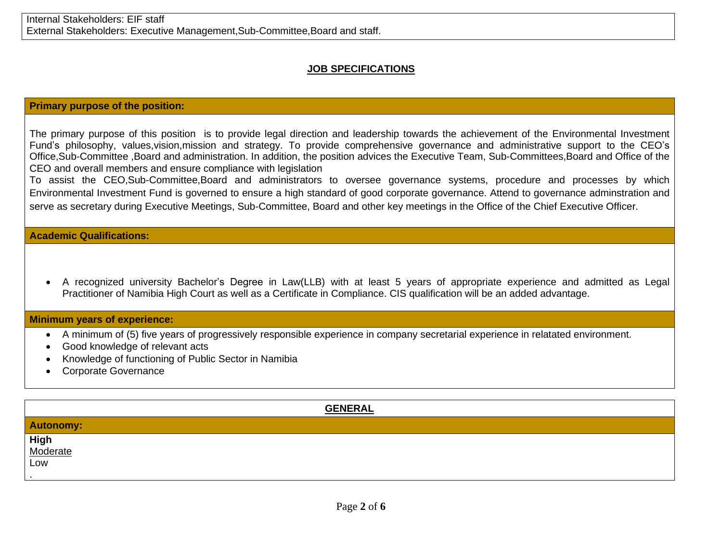## **JOB SPECIFICATIONS**

## **Primary purpose of the position:**

The primary purpose of this position is to provide legal direction and leadership towards the achievement of the Environmental Investment Fund's philosophy, values,vision,mission and strategy. To provide comprehensive governance and administrative support to the CEO's Office,Sub-Committee ,Board and administration. In addition, the position advices the Executive Team, Sub-Committees,Board and Office of the CEO and overall members and ensure compliance with legislation

To assist the CEO,Sub-Committee,Board and administrators to oversee governance systems, procedure and processes by which Environmental Investment Fund is governed to ensure a high standard of good corporate governance. Attend to governance adminstration and serve as secretary during Executive Meetings, Sub-Committee, Board and other key meetings in the Office of the Chief Executive Officer.

**Academic Qualifications:** 

• A recognized university Bachelor's Degree in Law(LLB) with at least 5 years of appropriate experience and admitted as Legal Practitioner of Namibia High Court as well as a Certificate in Compliance. CIS qualification will be an added advantage.

### **Minimum years of experience:**

- A minimum of (5) five years of progressively responsible experience in company secretarial experience in relatated environment.
- Good knowledge of relevant acts
- Knowledge of functioning of Public Sector in Namibia
- Corporate Governance

| <b>GENERAL</b>   |
|------------------|
| <b>Autonomy:</b> |
| High<br>Moderate |
| Low              |
|                  |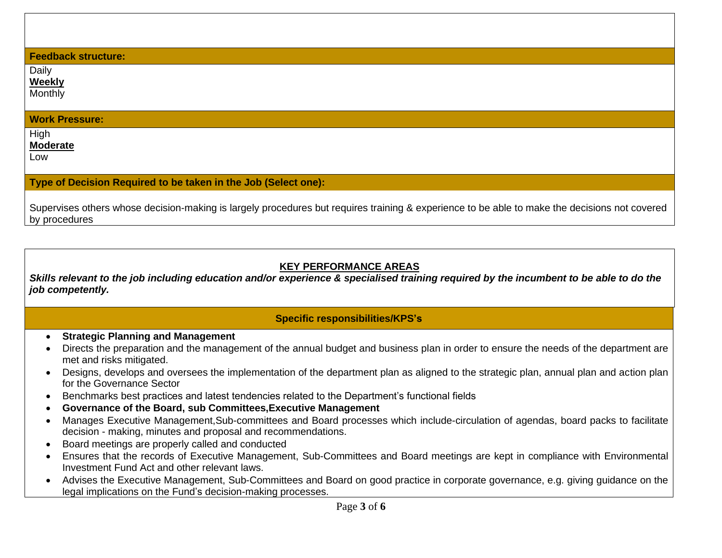#### **Feedback structure:**

Daily

**Weekly** Monthly

#### **Work Pressure:**

**High Moderate**

Low

#### **Type of Decision Required to be taken in the Job (Select one):**

Supervises others whose decision-making is largely procedures but requires training & experience to be able to make the decisions not covered by procedures

## **KEY PERFORMANCE AREAS**

*Skills relevant to the job including education and/or experience & specialised training required by the incumbent to be able to do the job competently.*

## **Specific responsibilities/KPS's**

- **Strategic Planning and Management**
- Directs the preparation and the management of the annual budget and business plan in order to ensure the needs of the department are met and risks mitigated.
- Designs, develops and oversees the implementation of the department plan as aligned to the strategic plan, annual plan and action plan for the Governance Sector
- Benchmarks best practices and latest tendencies related to the Department's functional fields
- **Governance of the Board, sub Committees,Executive Management**
- Manages Executive Management,Sub-committees and Board processes which include-circulation of agendas, board packs to facilitate decision - making, minutes and proposal and recommendations.
- Board meetings are properly called and conducted
- Ensures that the records of Executive Management, Sub-Committees and Board meetings are kept in compliance with Environmental Investment Fund Act and other relevant laws.
- Advises the Executive Management, Sub-Committees and Board on good practice in corporate governance, e.g. giving guidance on the legal implications on the Fund's decision-making processes.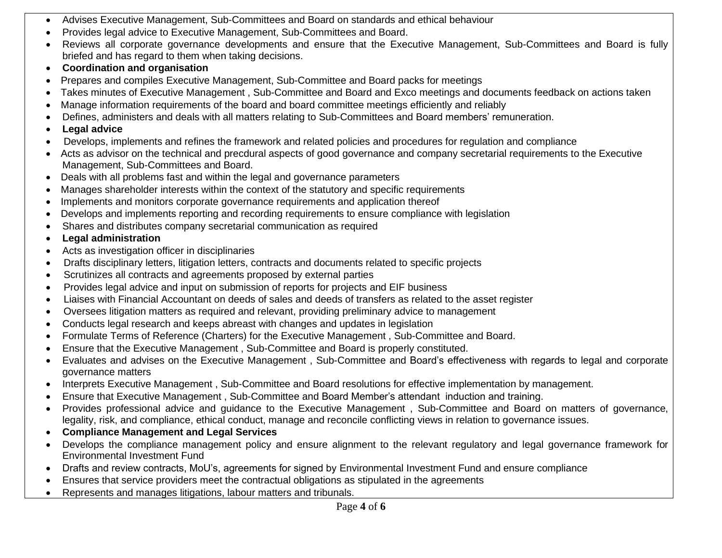- Advises Executive Management, Sub-Committees and Board on standards and ethical behaviour
- Provides legal advice to Executive Management, Sub-Committees and Board.
- Reviews all corporate governance developments and ensure that the Executive Management, Sub-Committees and Board is fully briefed and has regard to them when taking decisions.
- **Coordination and organisation**
- Prepares and compiles Executive Management, Sub-Committee and Board packs for meetings
- Takes minutes of Executive Management , Sub-Committee and Board and Exco meetings and documents feedback on actions taken
- Manage information requirements of the board and board committee meetings efficiently and reliably
- Defines, administers and deals with all matters relating to Sub-Committees and Board members' remuneration.
- **Legal advice**
- Develops, implements and refines the framework and related policies and procedures for regulation and compliance
- Acts as advisor on the technical and precdural aspects of good governance and company secretarial requirements to the Executive Management, Sub-Committees and Board.
- Deals with all problems fast and within the legal and governance parameters
- Manages shareholder interests within the context of the statutory and specific requirements
- Implements and monitors corporate governance requirements and application thereof
- Develops and implements reporting and recording requirements to ensure compliance with legislation
- Shares and distributes company secretarial communication as required
- **Legal administration**
- Acts as investigation officer in disciplinaries
- Drafts disciplinary letters, litigation letters, contracts and documents related to specific projects
- Scrutinizes all contracts and agreements proposed by external parties
- Provides legal advice and input on submission of reports for projects and EIF business
- Liaises with Financial Accountant on deeds of sales and deeds of transfers as related to the asset register
- Oversees litigation matters as required and relevant, providing preliminary advice to management
- Conducts legal research and keeps abreast with changes and updates in legislation
- Formulate Terms of Reference (Charters) for the Executive Management , Sub-Committee and Board.
- Ensure that the Executive Management , Sub-Committee and Board is properly constituted.
- Evaluates and advises on the Executive Management , Sub-Committee and Board's effectiveness with regards to legal and corporate governance matters
- Interprets Executive Management , Sub-Committee and Board resolutions for effective implementation by management.
- Ensure that Executive Management , Sub-Committee and Board Member's attendant induction and training.
- Provides professional advice and guidance to the Executive Management , Sub-Committee and Board on matters of governance, legality, risk, and compliance, ethical conduct, manage and reconcile conflicting views in relation to governance issues.
- **Compliance Management and Legal Services**
- Develops the compliance management policy and ensure alignment to the relevant regulatory and legal governance framework for Environmental Investment Fund
- Drafts and review contracts, MoU's, agreements for signed by Environmental Investment Fund and ensure compliance
- Ensures that service providers meet the contractual obligations as stipulated in the agreements
- Represents and manages litigations, labour matters and tribunals.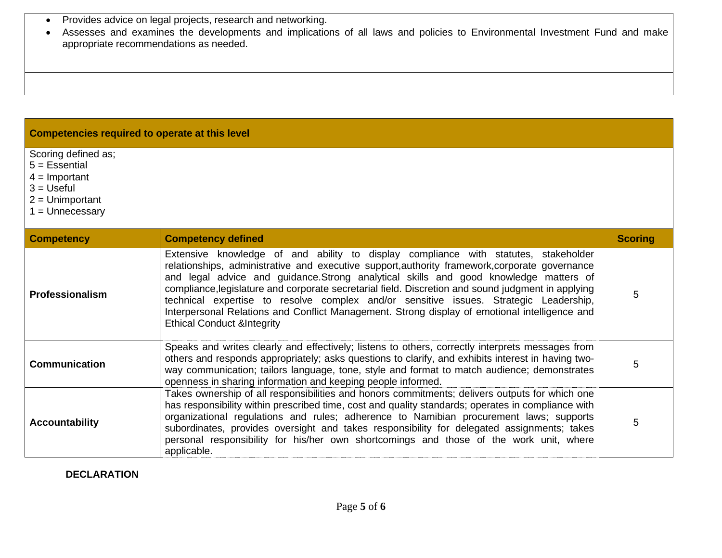• Provides advice on legal projects, research and networking.

• Assesses and examines the developments and implications of all laws and policies to Environmental Investment Fund and make appropriate recommendations as needed.

# **Competencies required to operate at this level**

Scoring defined as;

 $5 = E$ ssential

 $4 =$  Important

- $3 = U$ seful
- 2 = Unimportant
- 1 = Unnecessary

| <b>Competency</b>                                                                                                                                                                                                                                                                                                                                                                                                                                                                                                              | <b>Competency defined</b>                                                                                                                                                                                                                                                                                                                                                                                                                                                                                                                                                                                               | <b>Scoring</b> |
|--------------------------------------------------------------------------------------------------------------------------------------------------------------------------------------------------------------------------------------------------------------------------------------------------------------------------------------------------------------------------------------------------------------------------------------------------------------------------------------------------------------------------------|-------------------------------------------------------------------------------------------------------------------------------------------------------------------------------------------------------------------------------------------------------------------------------------------------------------------------------------------------------------------------------------------------------------------------------------------------------------------------------------------------------------------------------------------------------------------------------------------------------------------------|----------------|
| <b>Professionalism</b>                                                                                                                                                                                                                                                                                                                                                                                                                                                                                                         | Extensive knowledge of and ability to display compliance with statutes, stakeholder<br>relationships, administrative and executive support, authority framework, corporate governance<br>and legal advice and guidance. Strong analytical skills and good knowledge matters of<br>compliance, legislature and corporate secretarial field. Discretion and sound judgment in applying<br>technical expertise to resolve complex and/or sensitive issues. Strategic Leadership,<br>Interpersonal Relations and Conflict Management. Strong display of emotional intelligence and<br><b>Ethical Conduct &amp;Integrity</b> | 5              |
| <b>Communication</b>                                                                                                                                                                                                                                                                                                                                                                                                                                                                                                           | Speaks and writes clearly and effectively; listens to others, correctly interprets messages from<br>others and responds appropriately; asks questions to clarify, and exhibits interest in having two-<br>way communication; tailors language, tone, style and format to match audience; demonstrates<br>openness in sharing information and keeping people informed.                                                                                                                                                                                                                                                   | 5              |
| Takes ownership of all responsibilities and honors commitments; delivers outputs for which one<br>has responsibility within prescribed time, cost and quality standards; operates in compliance with<br>organizational regulations and rules; adherence to Namibian procurement laws; supports<br><b>Accountability</b><br>subordinates, provides oversight and takes responsibility for delegated assignments; takes<br>personal responsibility for his/her own shortcomings and those of the work unit, where<br>applicable. |                                                                                                                                                                                                                                                                                                                                                                                                                                                                                                                                                                                                                         | 5              |

**DECLARATION**